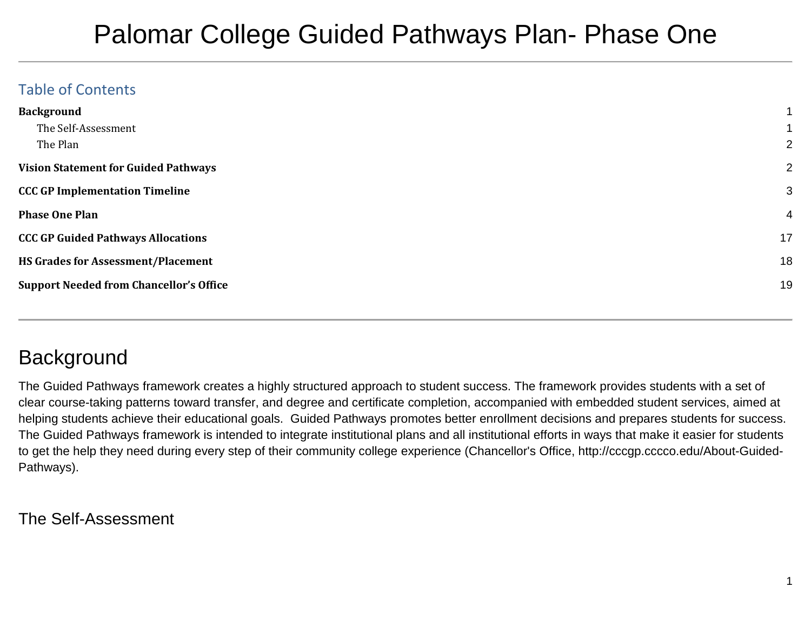# Palomar College Guided Pathways Plan- Phase One

### <span id="page-0-2"></span>Table of Contents

| <b>Background</b>                              |                |
|------------------------------------------------|----------------|
| The Self-Assessment                            |                |
| The Plan                                       | $\overline{2}$ |
| <b>Vision Statement for Guided Pathways</b>    | $\overline{2}$ |
| <b>CCC GP Implementation Timeline</b>          | 3              |
| <b>Phase One Plan</b>                          | 4              |
| <b>CCC GP Guided Pathways Allocations</b>      | 17             |
| <b>HS Grades for Assessment/Placement</b>      | 18             |
| <b>Support Needed from Chancellor's Office</b> | 19             |
|                                                |                |

## <span id="page-0-0"></span>**Background**

The Guided Pathways framework creates a highly structured approach to student success. The framework provides students with a set of clear course-taking patterns toward transfer, and degree and certificate completion, accompanied with embedded student services, aimed at helping students achieve their educational goals. Guided Pathways promotes better enrollment decisions and prepares students for success. The Guided Pathways framework is intended to integrate institutional plans and all institutional efforts in ways that make it easier for students to get the help they need during every step of their community college experience (Chancellor's Office, http://cccgp.cccco.edu/About-Guided-Pathways).

<span id="page-0-1"></span>The Self-Assessment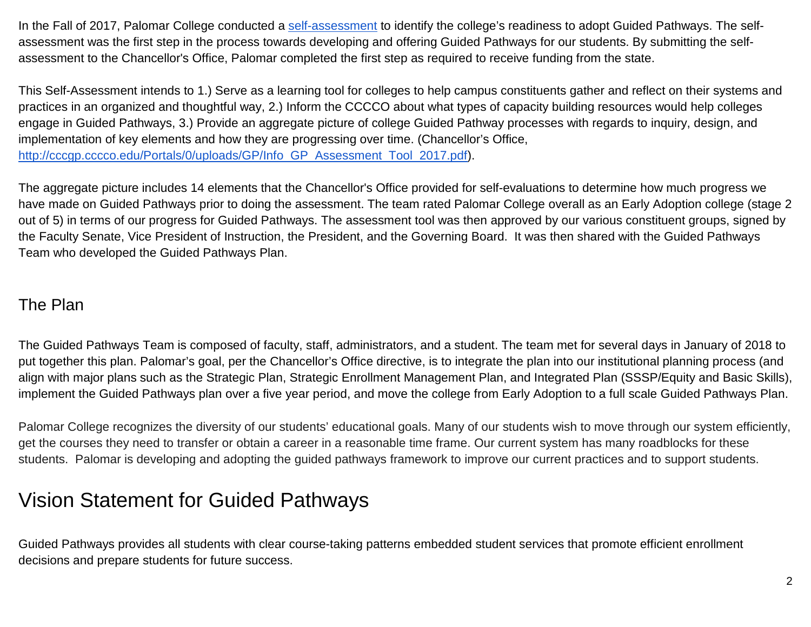In the Fall of 2017, Palomar College conducted a [self-assessment](#page-0-2) to identify the college's readiness to adopt Guided Pathways. The selfassessment was the first step in the process towards developing and offering Guided Pathways for our students. By submitting the selfassessment to the Chancellor's Office, Palomar completed the first step as required to receive funding from the state.

This Self-Assessment intends to 1.) Serve as a learning tool for colleges to help campus constituents gather and reflect on their systems and practices in an organized and thoughtful way, 2.) Inform the CCCCO about what types of capacity building resources would help colleges engage in Guided Pathways, 3.) Provide an aggregate picture of college Guided Pathway processes with regards to inquiry, design, and implementation of key elements and how they are progressing over time. (Chancellor's Office, [http://cccgp.cccco.edu/Portals/0/uploads/GP/Info\\_GP\\_Assessment\\_Tool\\_2017.pdf\)](http://cccgp.cccco.edu/Portals/0/uploads/GP/Info_GP_Assessment_Tool_2017.pdf).

The aggregate picture includes 14 elements that the Chancellor's Office provided for self-evaluations to determine how much progress we have made on Guided Pathways prior to doing the assessment. The team rated Palomar College overall as an Early Adoption college (stage 2 out of 5) in terms of our progress for Guided Pathways. The assessment tool was then approved by our various constituent groups, signed by the Faculty Senate, Vice President of Instruction, the President, and the Governing Board. It was then shared with the Guided Pathways Team who developed the Guided Pathways Plan.

### <span id="page-1-0"></span>The Plan

The Guided Pathways Team is composed of faculty, staff, administrators, and a student. The team met for several days in January of 2018 to put together this plan. Palomar's goal, per the Chancellor's Office directive, is to integrate the plan into our institutional planning process (and align with major plans such as the Strategic Plan, Strategic Enrollment Management Plan, and Integrated Plan (SSSP/Equity and Basic Skills), implement the Guided Pathways plan over a five year period, and move the college from Early Adoption to a full scale Guided Pathways Plan.

Palomar College recognizes the diversity of our students' educational goals. Many of our students wish to move through our system efficiently, get the courses they need to transfer or obtain a career in a reasonable time frame. Our current system has many roadblocks for these students. Palomar is developing and adopting the guided pathways framework to improve our current practices and to support students.

# <span id="page-1-1"></span>Vision Statement for Guided Pathways

Guided Pathways provides all students with clear course-taking patterns embedded student services that promote efficient enrollment decisions and prepare students for future success.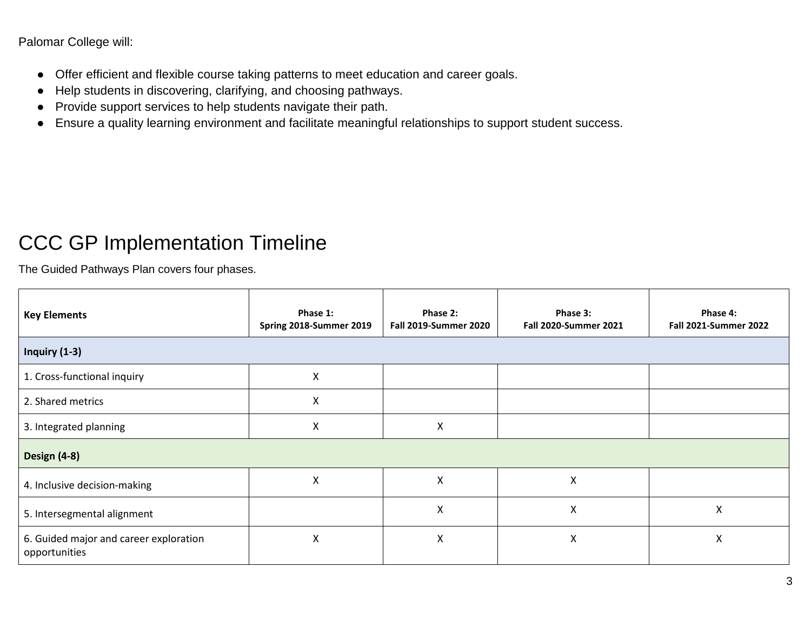Palomar College will:

- Offer efficient and flexible course taking patterns to meet education and career goals.
- Help students in discovering, clarifying, and choosing pathways.
- Provide support services to help students navigate their path.
- Ensure a quality learning environment and facilitate meaningful relationships to support student success.

## <span id="page-2-0"></span>CCC GP Implementation Timeline

The Guided Pathways Plan covers four phases.

| <b>Key Elements</b>                                     | Phase 1:<br>Spring 2018-Summer 2019 | Phase 2:<br><b>Fall 2019-Summer 2020</b> | Phase 3:<br><b>Fall 2020-Summer 2021</b> | Phase 4:<br><b>Fall 2021-Summer 2022</b> |
|---------------------------------------------------------|-------------------------------------|------------------------------------------|------------------------------------------|------------------------------------------|
| Inquiry $(1-3)$                                         |                                     |                                          |                                          |                                          |
| 1. Cross-functional inquiry                             | X                                   |                                          |                                          |                                          |
| 2. Shared metrics                                       | Χ                                   |                                          |                                          |                                          |
| 3. Integrated planning                                  | X                                   | X                                        |                                          |                                          |
| Design (4-8)                                            |                                     |                                          |                                          |                                          |
| 4. Inclusive decision-making                            | Χ                                   | Χ                                        | X                                        |                                          |
| 5. Intersegmental alignment                             |                                     | X                                        | X                                        | X                                        |
| 6. Guided major and career exploration<br>opportunities | Χ                                   | Χ                                        | X                                        | X                                        |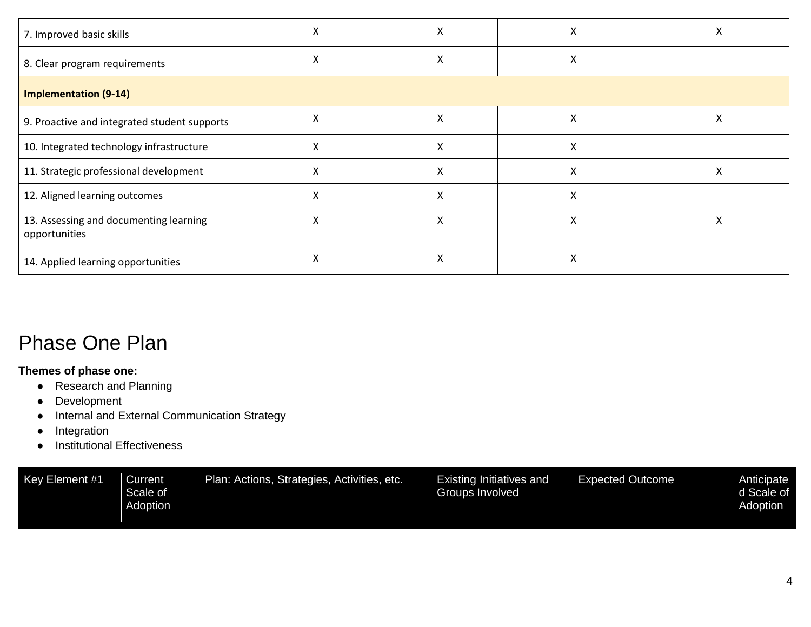| 7. Improved basic skills                                | х | х | x | л |
|---------------------------------------------------------|---|---|---|---|
| 8. Clear program requirements                           | X | X | X |   |
| <b>Implementation (9-14)</b>                            |   |   |   |   |
| 9. Proactive and integrated student supports            |   |   |   |   |
| 10. Integrated technology infrastructure                |   |   | x |   |
| 11. Strategic professional development                  | x |   | X | x |
| 12. Aligned learning outcomes                           | x | χ | X |   |
| 13. Assessing and documenting learning<br>opportunities |   |   | л |   |
| 14. Applied learning opportunities                      |   | v | X |   |

### <span id="page-3-0"></span>Phase One Plan

#### **Themes of phase one:**

- Research and Planning
- Development
- Internal and External Communication Strategy
- Integration
- Institutional Effectiveness

| Key Element #1<br>Plan: Actions, Strategies, Activities, etc.<br>Current I<br>Scale of<br>Adoption | Existing Initiatives and<br>Groups Involved | <b>Expected Outcome</b> | Anticipate<br>d Scale of<br>Adoption |
|----------------------------------------------------------------------------------------------------|---------------------------------------------|-------------------------|--------------------------------------|
|----------------------------------------------------------------------------------------------------|---------------------------------------------|-------------------------|--------------------------------------|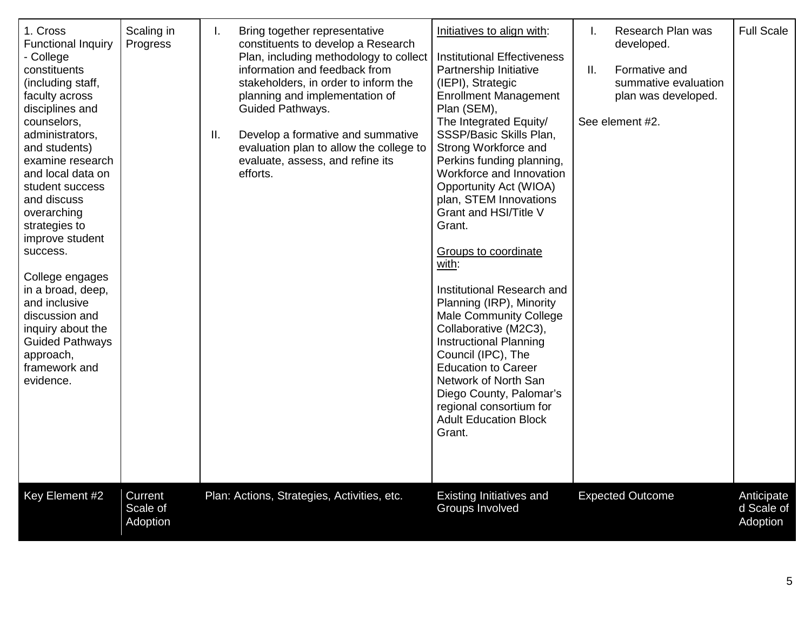| 1. Cross<br><b>Functional Inquiry</b><br>- College<br>constituents<br>(including staff,<br>faculty across<br>disciplines and<br>counselors,<br>administrators,<br>and students)<br>examine research<br>and local data on<br>student success<br>and discuss<br>overarching<br>strategies to<br>improve student<br>success.<br>College engages<br>in a broad, deep,<br>and inclusive<br>discussion and<br>inquiry about the<br><b>Guided Pathways</b><br>approach,<br>framework and<br>evidence. | Scaling in<br>Progress          | I.<br>Ш. | Bring together representative<br>constituents to develop a Research<br>Plan, including methodology to collect<br>information and feedback from<br>stakeholders, in order to inform the<br>planning and implementation of<br>Guided Pathways.<br>Develop a formative and summative<br>evaluation plan to allow the college to<br>evaluate, assess, and refine its<br>efforts. | Initiatives to align with:<br><b>Institutional Effectiveness</b><br>Partnership Initiative<br>(IEPI), Strategic<br><b>Enrollment Management</b><br>Plan (SEM),<br>The Integrated Equity/<br>SSSP/Basic Skills Plan,<br>Strong Workforce and<br>Perkins funding planning,<br>Workforce and Innovation<br><b>Opportunity Act (WIOA)</b><br>plan, STEM Innovations<br>Grant and HSI/Title V<br>Grant.<br>Groups to coordinate<br>with:<br>Institutional Research and<br>Planning (IRP), Minority<br><b>Male Community College</b><br>Collaborative (M2C3),<br><b>Instructional Planning</b><br>Council (IPC), The<br><b>Education to Career</b><br>Network of North San<br>Diego County, Palomar's<br>regional consortium for<br><b>Adult Education Block</b><br>Grant. | I.<br>Ш. | Research Plan was<br>developed.<br>Formative and<br>summative evaluation<br>plan was developed.<br>See element #2. | <b>Full Scale</b>                    |
|------------------------------------------------------------------------------------------------------------------------------------------------------------------------------------------------------------------------------------------------------------------------------------------------------------------------------------------------------------------------------------------------------------------------------------------------------------------------------------------------|---------------------------------|----------|------------------------------------------------------------------------------------------------------------------------------------------------------------------------------------------------------------------------------------------------------------------------------------------------------------------------------------------------------------------------------|----------------------------------------------------------------------------------------------------------------------------------------------------------------------------------------------------------------------------------------------------------------------------------------------------------------------------------------------------------------------------------------------------------------------------------------------------------------------------------------------------------------------------------------------------------------------------------------------------------------------------------------------------------------------------------------------------------------------------------------------------------------------|----------|--------------------------------------------------------------------------------------------------------------------|--------------------------------------|
| Key Element #2                                                                                                                                                                                                                                                                                                                                                                                                                                                                                 | Current<br>Scale of<br>Adoption |          | Plan: Actions, Strategies, Activities, etc.                                                                                                                                                                                                                                                                                                                                  | Existing Initiatives and<br><b>Groups Involved</b>                                                                                                                                                                                                                                                                                                                                                                                                                                                                                                                                                                                                                                                                                                                   |          | <b>Expected Outcome</b>                                                                                            | Anticipate<br>d Scale of<br>Adoption |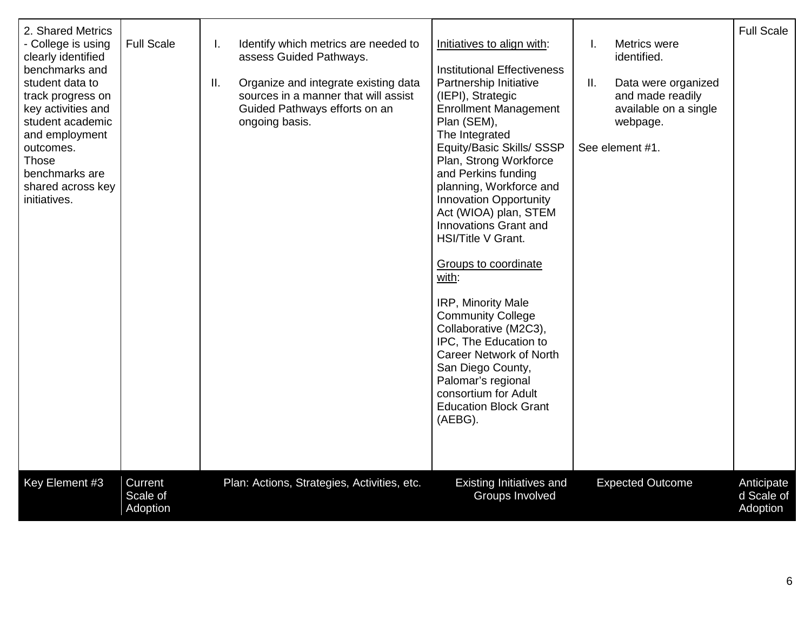| 2. Shared Metrics<br>- College is using<br>clearly identified<br>benchmarks and<br>student data to<br>track progress on<br>key activities and<br>student academic<br>and employment<br>outcomes.<br><b>Those</b><br>benchmarks are<br>shared across key<br>initiatives. | <b>Full Scale</b>                      | I.<br>П. | Identify which metrics are needed to<br>assess Guided Pathways.<br>Organize and integrate existing data<br>sources in a manner that will assist<br>Guided Pathways efforts on an<br>ongoing basis. | Initiatives to align with:<br><b>Institutional Effectiveness</b><br>Partnership Initiative<br>(IEPI), Strategic<br><b>Enrollment Management</b><br>Plan (SEM),<br>The Integrated<br>Equity/Basic Skills/ SSSP<br>Plan, Strong Workforce<br>and Perkins funding<br>planning, Workforce and<br><b>Innovation Opportunity</b><br>Act (WIOA) plan, STEM<br>Innovations Grant and<br>HSI/Title V Grant.<br>Groups to coordinate<br>with:<br>IRP, Minority Male<br><b>Community College</b><br>Collaborative (M2C3),<br>IPC, The Education to<br><b>Career Network of North</b><br>San Diego County,<br>Palomar's regional<br>consortium for Adult<br><b>Education Block Grant</b><br>(AEBG). | I.<br>Ш. | Metrics were<br>identified.<br>Data were organized<br>and made readily<br>available on a single<br>webpage.<br>See element #1. | <b>Full Scale</b>                    |
|-------------------------------------------------------------------------------------------------------------------------------------------------------------------------------------------------------------------------------------------------------------------------|----------------------------------------|----------|----------------------------------------------------------------------------------------------------------------------------------------------------------------------------------------------------|-----------------------------------------------------------------------------------------------------------------------------------------------------------------------------------------------------------------------------------------------------------------------------------------------------------------------------------------------------------------------------------------------------------------------------------------------------------------------------------------------------------------------------------------------------------------------------------------------------------------------------------------------------------------------------------------|----------|--------------------------------------------------------------------------------------------------------------------------------|--------------------------------------|
| Key Element #3                                                                                                                                                                                                                                                          | <b>Current</b><br>Scale of<br>Adoption |          | Plan: Actions, Strategies, Activities, etc.                                                                                                                                                        | Existing Initiatives and<br><b>Groups Involved</b>                                                                                                                                                                                                                                                                                                                                                                                                                                                                                                                                                                                                                                      |          | <b>Expected Outcome</b>                                                                                                        | Anticipate<br>d Scale of<br>Adoption |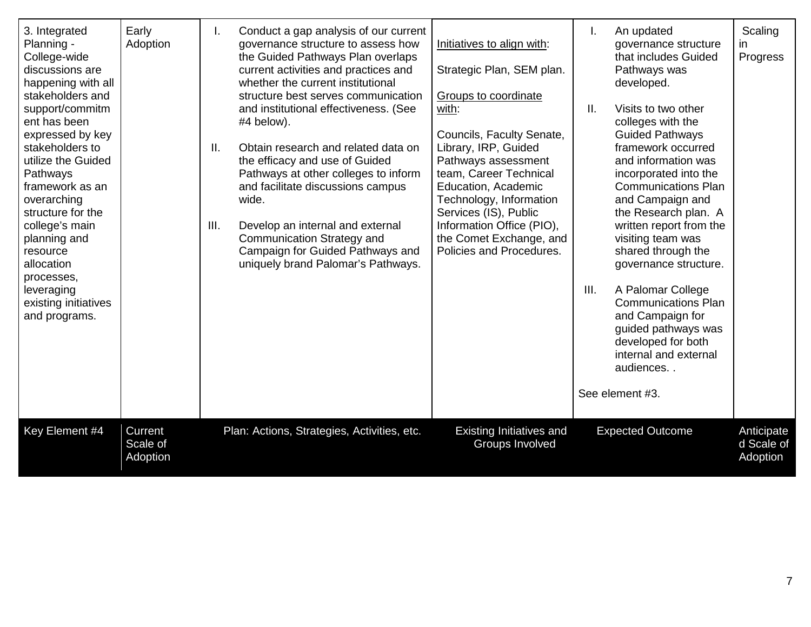| 3. Integrated<br>Planning -<br>College-wide<br>discussions are<br>happening with all<br>stakeholders and<br>support/commitm<br>ent has been<br>expressed by key<br>stakeholders to<br>utilize the Guided<br>Pathways<br>framework as an<br>overarching<br>structure for the<br>college's main<br>planning and<br>resource<br>allocation<br>processes,<br>leveraging<br>existing initiatives<br>and programs. | Early<br>Adoption               | II.<br>III. | Conduct a gap analysis of our current<br>governance structure to assess how<br>the Guided Pathways Plan overlaps<br>current activities and practices and<br>whether the current institutional<br>structure best serves communication<br>and institutional effectiveness. (See<br>#4 below).<br>Obtain research and related data on<br>the efficacy and use of Guided<br>Pathways at other colleges to inform<br>and facilitate discussions campus<br>wide.<br>Develop an internal and external<br><b>Communication Strategy and</b><br>Campaign for Guided Pathways and<br>uniquely brand Palomar's Pathways. | Initiatives to align with:<br>Strategic Plan, SEM plan.<br>Groups to coordinate<br>with:<br>Councils, Faculty Senate,<br>Library, IRP, Guided<br>Pathways assessment<br>team, Career Technical<br><b>Education, Academic</b><br>Technology, Information<br>Services (IS), Public<br>Information Office (PIO),<br>the Comet Exchange, and<br>Policies and Procedures. | I.<br>II.<br>III. | An updated<br>governance structure<br>that includes Guided<br>Pathways was<br>developed.<br>Visits to two other<br>colleges with the<br><b>Guided Pathways</b><br>framework occurred<br>and information was<br>incorporated into the<br><b>Communications Plan</b><br>and Campaign and<br>the Research plan. A<br>written report from the<br>visiting team was<br>shared through the<br>governance structure.<br>A Palomar College<br><b>Communications Plan</b><br>and Campaign for<br>guided pathways was<br>developed for both<br>internal and external<br>audiences<br>See element #3. | Scaling<br>in.<br>Progress           |
|--------------------------------------------------------------------------------------------------------------------------------------------------------------------------------------------------------------------------------------------------------------------------------------------------------------------------------------------------------------------------------------------------------------|---------------------------------|-------------|---------------------------------------------------------------------------------------------------------------------------------------------------------------------------------------------------------------------------------------------------------------------------------------------------------------------------------------------------------------------------------------------------------------------------------------------------------------------------------------------------------------------------------------------------------------------------------------------------------------|----------------------------------------------------------------------------------------------------------------------------------------------------------------------------------------------------------------------------------------------------------------------------------------------------------------------------------------------------------------------|-------------------|--------------------------------------------------------------------------------------------------------------------------------------------------------------------------------------------------------------------------------------------------------------------------------------------------------------------------------------------------------------------------------------------------------------------------------------------------------------------------------------------------------------------------------------------------------------------------------------------|--------------------------------------|
| Key Element #4                                                                                                                                                                                                                                                                                                                                                                                               | Current<br>Scale of<br>Adoption |             | Plan: Actions, Strategies, Activities, etc.                                                                                                                                                                                                                                                                                                                                                                                                                                                                                                                                                                   | Existing Initiatives and<br>Groups Involved                                                                                                                                                                                                                                                                                                                          |                   | <b>Expected Outcome</b>                                                                                                                                                                                                                                                                                                                                                                                                                                                                                                                                                                    | Anticipate<br>d Scale of<br>Adoption |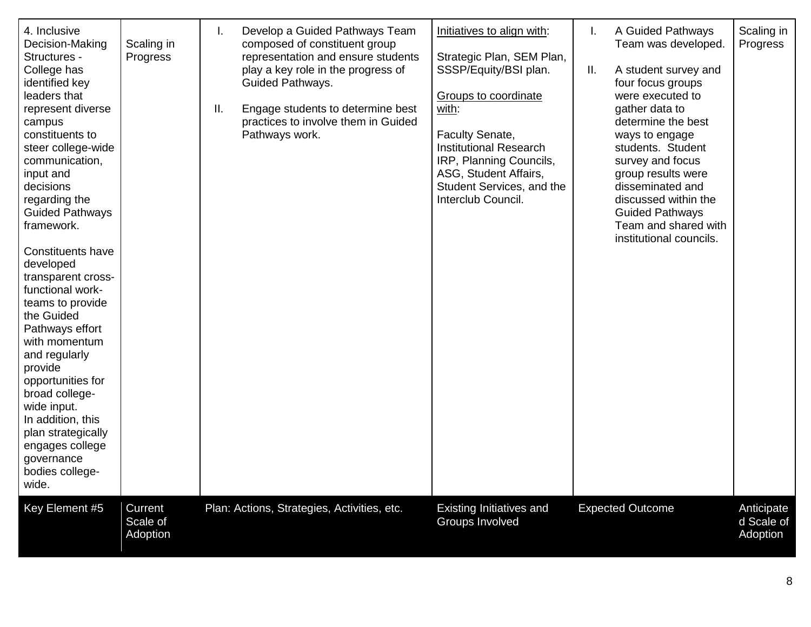| 4. Inclusive<br>Decision-Making<br>Structures -<br>College has<br>identified key<br>leaders that<br>represent diverse<br>campus<br>constituents to<br>steer college-wide<br>communication,<br>input and<br>decisions<br>regarding the<br><b>Guided Pathways</b><br>framework.<br><b>Constituents have</b><br>developed<br>transparent cross-<br>functional work-<br>teams to provide<br>the Guided<br>Pathways effort<br>with momentum<br>and regularly<br>provide<br>opportunities for<br>broad college-<br>wide input.<br>In addition, this<br>plan strategically<br>engages college<br>governance<br>bodies college-<br>wide. | Scaling in<br>Progress          | I.<br>Ш. | Develop a Guided Pathways Team<br>composed of constituent group<br>representation and ensure students<br>play a key role in the progress of<br>Guided Pathways.<br>Engage students to determine best<br>practices to involve them in Guided<br>Pathways work. | Initiatives to align with:<br>Strategic Plan, SEM Plan,<br>SSSP/Equity/BSI plan.<br>Groups to coordinate<br>with:<br>Faculty Senate,<br><b>Institutional Research</b><br>IRP, Planning Councils,<br>ASG, Student Affairs,<br>Student Services, and the<br>Interclub Council. | I.<br>Ш. | A Guided Pathways<br>Team was developed.<br>A student survey and<br>four focus groups<br>were executed to<br>gather data to<br>determine the best<br>ways to engage<br>students. Student<br>survey and focus<br>group results were<br>disseminated and<br>discussed within the<br><b>Guided Pathways</b><br>Team and shared with<br>institutional councils. | Scaling in<br>Progress               |
|----------------------------------------------------------------------------------------------------------------------------------------------------------------------------------------------------------------------------------------------------------------------------------------------------------------------------------------------------------------------------------------------------------------------------------------------------------------------------------------------------------------------------------------------------------------------------------------------------------------------------------|---------------------------------|----------|---------------------------------------------------------------------------------------------------------------------------------------------------------------------------------------------------------------------------------------------------------------|------------------------------------------------------------------------------------------------------------------------------------------------------------------------------------------------------------------------------------------------------------------------------|----------|-------------------------------------------------------------------------------------------------------------------------------------------------------------------------------------------------------------------------------------------------------------------------------------------------------------------------------------------------------------|--------------------------------------|
| Key Element #5                                                                                                                                                                                                                                                                                                                                                                                                                                                                                                                                                                                                                   | Current<br>Scale of<br>Adoption |          | Plan: Actions, Strategies, Activities, etc.                                                                                                                                                                                                                   | Existing Initiatives and<br>Groups Involved                                                                                                                                                                                                                                  |          | <b>Expected Outcome</b>                                                                                                                                                                                                                                                                                                                                     | Anticipate<br>d Scale of<br>Adoption |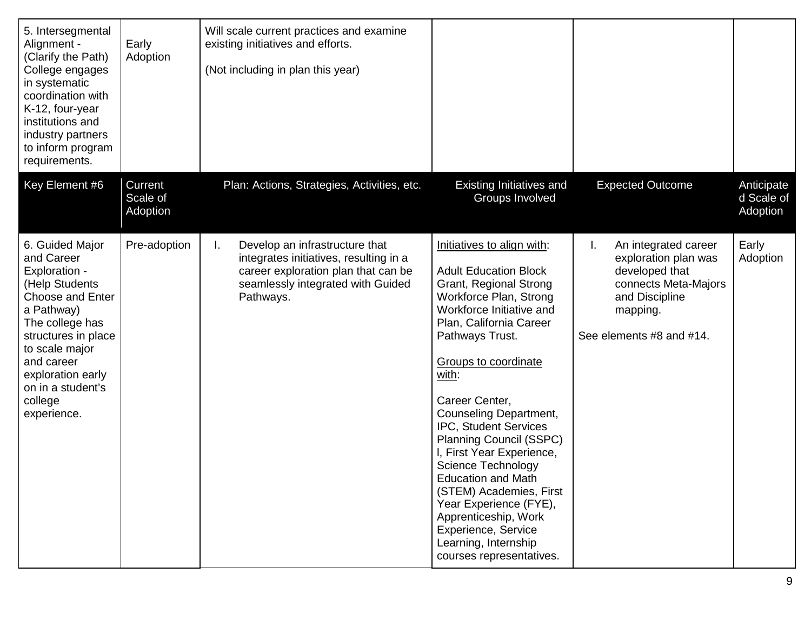| 5. Intersegmental<br>Alignment -<br>(Clarify the Path)<br>College engages<br>in systematic<br>coordination with<br>K-12, four-year<br>institutions and<br>industry partners<br>to inform program<br>requirements.                                       | Early<br>Adoption               | Will scale current practices and examine<br>existing initiatives and efforts.<br>(Not including in plan this year)                                                      |                                                                                                                                                                                                                                                                                                                                                                                                                                                                                                                                                                                 |                                                                                                                                                        |                                      |
|---------------------------------------------------------------------------------------------------------------------------------------------------------------------------------------------------------------------------------------------------------|---------------------------------|-------------------------------------------------------------------------------------------------------------------------------------------------------------------------|---------------------------------------------------------------------------------------------------------------------------------------------------------------------------------------------------------------------------------------------------------------------------------------------------------------------------------------------------------------------------------------------------------------------------------------------------------------------------------------------------------------------------------------------------------------------------------|--------------------------------------------------------------------------------------------------------------------------------------------------------|--------------------------------------|
| Key Element #6                                                                                                                                                                                                                                          | Current<br>Scale of<br>Adoption | Plan: Actions, Strategies, Activities, etc.                                                                                                                             | Existing Initiatives and<br>Groups Involved                                                                                                                                                                                                                                                                                                                                                                                                                                                                                                                                     | <b>Expected Outcome</b>                                                                                                                                | Anticipate<br>d Scale of<br>Adoption |
| 6. Guided Major<br>and Career<br>Exploration -<br>(Help Students<br><b>Choose and Enter</b><br>a Pathway)<br>The college has<br>structures in place<br>to scale major<br>and career<br>exploration early<br>on in a student's<br>college<br>experience. | Pre-adoption                    | Develop an infrastructure that<br>L.<br>integrates initiatives, resulting in a<br>career exploration plan that can be<br>seamlessly integrated with Guided<br>Pathways. | Initiatives to align with:<br><b>Adult Education Block</b><br>Grant, Regional Strong<br>Workforce Plan, Strong<br>Workforce Initiative and<br>Plan, California Career<br>Pathways Trust.<br>Groups to coordinate<br>with:<br>Career Center,<br>Counseling Department,<br>IPC, Student Services<br><b>Planning Council (SSPC)</b><br>I, First Year Experience,<br><b>Science Technology</b><br><b>Education and Math</b><br>(STEM) Academies, First<br>Year Experience (FYE),<br>Apprenticeship, Work<br>Experience, Service<br>Learning, Internship<br>courses representatives. | An integrated career<br>I.<br>exploration plan was<br>developed that<br>connects Meta-Majors<br>and Discipline<br>mapping.<br>See elements #8 and #14. | Early<br>Adoption                    |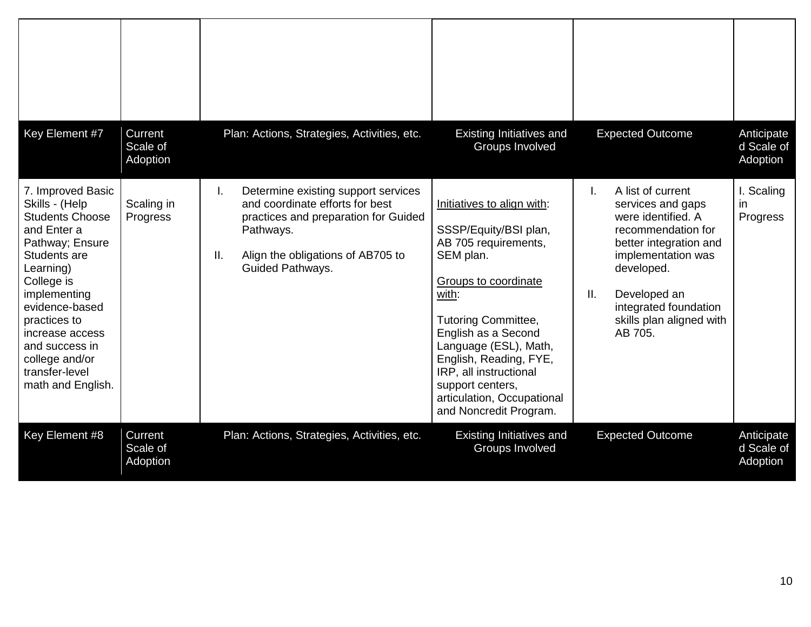| Key Element #7                                                                                                                                                                                                                                                                             | Current<br>Scale of<br>Adoption | Plan: Actions, Strategies, Activities, etc.                                                                                                                                                      | Existing Initiatives and<br>Groups Involved                                                                                                                                                                                                                                                                                             | <b>Expected Outcome</b>                                                                                                                                                                                                                 | Anticipate<br>d Scale of<br>Adoption |
|--------------------------------------------------------------------------------------------------------------------------------------------------------------------------------------------------------------------------------------------------------------------------------------------|---------------------------------|--------------------------------------------------------------------------------------------------------------------------------------------------------------------------------------------------|-----------------------------------------------------------------------------------------------------------------------------------------------------------------------------------------------------------------------------------------------------------------------------------------------------------------------------------------|-----------------------------------------------------------------------------------------------------------------------------------------------------------------------------------------------------------------------------------------|--------------------------------------|
| 7. Improved Basic<br>Skills - (Help<br><b>Students Choose</b><br>and Enter a<br>Pathway; Ensure<br>Students are<br>Learning)<br>College is<br>implementing<br>evidence-based<br>practices to<br>increase access<br>and success in<br>college and/or<br>transfer-level<br>math and English. | Scaling in<br>Progress          | Determine existing support services<br>I.<br>and coordinate efforts for best<br>practices and preparation for Guided<br>Pathways.<br>Ш.<br>Align the obligations of AB705 to<br>Guided Pathways. | Initiatives to align with:<br>SSSP/Equity/BSI plan,<br>AB 705 requirements,<br>SEM plan.<br>Groups to coordinate<br>with:<br><b>Tutoring Committee,</b><br>English as a Second<br>Language (ESL), Math,<br>English, Reading, FYE,<br>IRP, all instructional<br>support centers,<br>articulation, Occupational<br>and Noncredit Program. | A list of current<br>services and gaps<br>were identified. A<br>recommendation for<br>better integration and<br>implementation was<br>developed.<br>II.<br>Developed an<br>integrated foundation<br>skills plan aligned with<br>AB 705. | I. Scaling<br>-in<br>Progress        |
| Key Element #8                                                                                                                                                                                                                                                                             | Current<br>Scale of<br>Adoption | Plan: Actions, Strategies, Activities, etc.                                                                                                                                                      | Existing Initiatives and<br>Groups Involved                                                                                                                                                                                                                                                                                             | <b>Expected Outcome</b>                                                                                                                                                                                                                 | Anticipate<br>d Scale of<br>Adoption |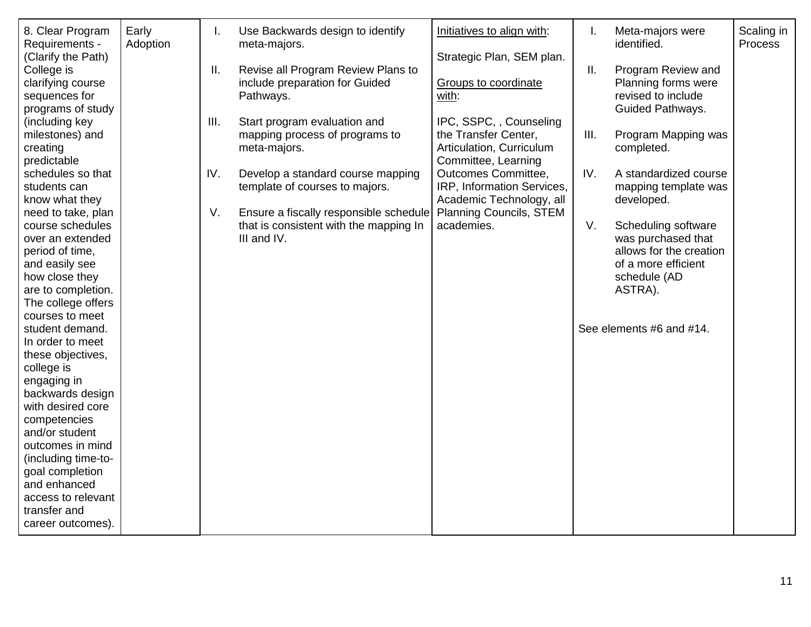| 8. Clear Program<br>Requirements -<br>(Clarify the Path)<br>College is<br>clarifying course<br>sequences for<br>programs of study<br>(including key<br>milestones) and<br>creating<br>predictable<br>schedules so that<br>students can<br>know what they<br>need to take, plan<br>course schedules<br>over an extended<br>period of time,<br>and easily see<br>how close they<br>are to completion.<br>The college offers<br>courses to meet<br>student demand.<br>In order to meet<br>these objectives,<br>college is<br>engaging in<br>backwards design<br>with desired core<br>competencies<br>and/or student<br>outcomes in mind | Early<br>Adoption | I.<br>Ш.<br>III.<br>IV.<br>V. | Use Backwards design to identify<br>meta-majors.<br>Revise all Program Review Plans to<br>include preparation for Guided<br>Pathways.<br>Start program evaluation and<br>mapping process of programs to<br>meta-majors.<br>Develop a standard course mapping<br>template of courses to majors.<br>Ensure a fiscally responsible schedule<br>that is consistent with the mapping In<br>III and IV. | Initiatives to align with:<br>Strategic Plan, SEM plan.<br><b>Groups to coordinate</b><br>with:<br>IPC, SSPC, , Counseling<br>the Transfer Center,<br>Articulation, Curriculum<br>Committee, Learning<br><b>Outcomes Committee,</b><br>IRP, Information Services,<br>Academic Technology, all<br><b>Planning Councils, STEM</b><br>academies. | Ι.<br>II.<br>III.<br>IV.<br>V. | Meta-majors were<br>identified.<br>Program Review and<br>Planning forms were<br>revised to include<br>Guided Pathways.<br>Program Mapping was<br>completed.<br>A standardized course<br>mapping template was<br>developed.<br>Scheduling software<br>was purchased that<br>allows for the creation<br>of a more efficient<br>schedule (AD<br>ASTRA).<br>See elements #6 and #14. | Scaling in<br>Process |
|--------------------------------------------------------------------------------------------------------------------------------------------------------------------------------------------------------------------------------------------------------------------------------------------------------------------------------------------------------------------------------------------------------------------------------------------------------------------------------------------------------------------------------------------------------------------------------------------------------------------------------------|-------------------|-------------------------------|---------------------------------------------------------------------------------------------------------------------------------------------------------------------------------------------------------------------------------------------------------------------------------------------------------------------------------------------------------------------------------------------------|-----------------------------------------------------------------------------------------------------------------------------------------------------------------------------------------------------------------------------------------------------------------------------------------------------------------------------------------------|--------------------------------|----------------------------------------------------------------------------------------------------------------------------------------------------------------------------------------------------------------------------------------------------------------------------------------------------------------------------------------------------------------------------------|-----------------------|
| (including time-to-<br>goal completion<br>and enhanced<br>access to relevant<br>transfer and<br>career outcomes).                                                                                                                                                                                                                                                                                                                                                                                                                                                                                                                    |                   |                               |                                                                                                                                                                                                                                                                                                                                                                                                   |                                                                                                                                                                                                                                                                                                                                               |                                |                                                                                                                                                                                                                                                                                                                                                                                  |                       |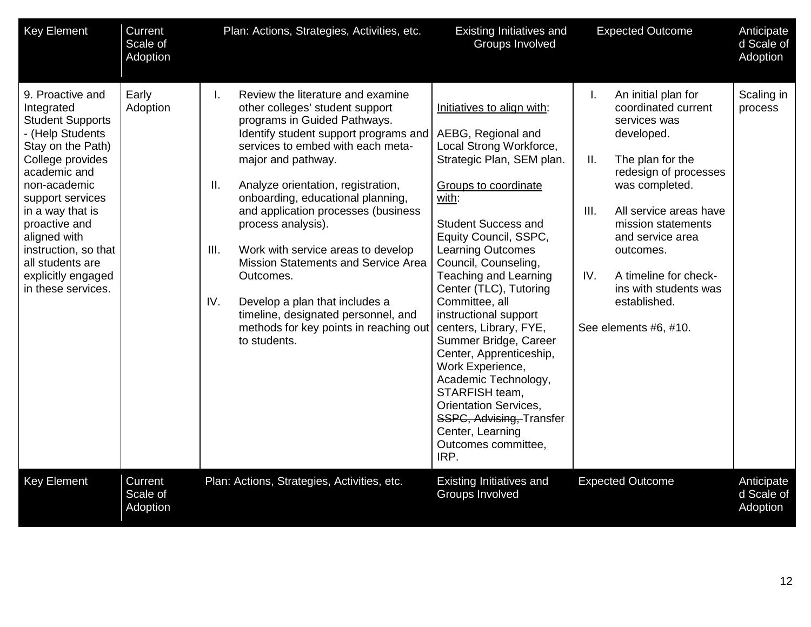| <b>Key Element</b>                                                                                                                                                                                                                                                                                                      | Current<br>Scale of<br>Adoption | Plan: Actions, Strategies, Activities, etc.                                                                                                                                                                                                                                                                                                                                                                                                                                                                                                                                                              | Existing Initiatives and<br>Groups Involved                                                                                                                                                                                                                                                                                                                                                                                                                                                                                                                                                                          | <b>Expected Outcome</b>                                                                                                                                                                                                                                                                                                                   | Anticipate<br>d Scale of<br>Adoption |
|-------------------------------------------------------------------------------------------------------------------------------------------------------------------------------------------------------------------------------------------------------------------------------------------------------------------------|---------------------------------|----------------------------------------------------------------------------------------------------------------------------------------------------------------------------------------------------------------------------------------------------------------------------------------------------------------------------------------------------------------------------------------------------------------------------------------------------------------------------------------------------------------------------------------------------------------------------------------------------------|----------------------------------------------------------------------------------------------------------------------------------------------------------------------------------------------------------------------------------------------------------------------------------------------------------------------------------------------------------------------------------------------------------------------------------------------------------------------------------------------------------------------------------------------------------------------------------------------------------------------|-------------------------------------------------------------------------------------------------------------------------------------------------------------------------------------------------------------------------------------------------------------------------------------------------------------------------------------------|--------------------------------------|
| 9. Proactive and<br>Integrated<br><b>Student Supports</b><br>- (Help Students<br>Stay on the Path)<br>College provides<br>academic and<br>non-academic<br>support services<br>in a way that is<br>proactive and<br>aligned with<br>instruction, so that<br>all students are<br>explicitly engaged<br>in these services. | Early<br>Adoption               | Review the literature and examine<br>L.<br>other colleges' student support<br>programs in Guided Pathways.<br>Identify student support programs and<br>services to embed with each meta-<br>major and pathway.<br>Analyze orientation, registration,<br>Ш.<br>onboarding, educational planning,<br>and application processes (business<br>process analysis).<br>III.<br>Work with service areas to develop<br>Mission Statements and Service Area<br>Outcomes.<br>IV.<br>Develop a plan that includes a<br>timeline, designated personnel, and<br>methods for key points in reaching out<br>to students. | Initiatives to align with:<br>AEBG, Regional and<br>Local Strong Workforce,<br>Strategic Plan, SEM plan.<br>Groups to coordinate<br>with:<br><b>Student Success and</b><br>Equity Council, SSPC,<br><b>Learning Outcomes</b><br>Council, Counseling,<br><b>Teaching and Learning</b><br>Center (TLC), Tutoring<br>Committee, all<br>instructional support<br>centers, Library, FYE,<br>Summer Bridge, Career<br>Center, Apprenticeship,<br>Work Experience,<br>Academic Technology,<br>STARFISH team,<br><b>Orientation Services,</b><br>SSPC, Advising, Transfer<br>Center, Learning<br>Outcomes committee,<br>IRP. | An initial plan for<br>coordinated current<br>services was<br>developed.<br>II.<br>The plan for the<br>redesign of processes<br>was completed.<br>All service areas have<br>III.<br>mission statements<br>and service area<br>outcomes.<br>IV.<br>A timeline for check-<br>ins with students was<br>established.<br>See elements #6, #10. | Scaling in<br>process                |
| <b>Key Element</b>                                                                                                                                                                                                                                                                                                      | Current<br>Scale of<br>Adoption | Plan: Actions, Strategies, Activities, etc.                                                                                                                                                                                                                                                                                                                                                                                                                                                                                                                                                              | Existing Initiatives and<br>Groups Involved                                                                                                                                                                                                                                                                                                                                                                                                                                                                                                                                                                          | <b>Expected Outcome</b>                                                                                                                                                                                                                                                                                                                   | Anticipate<br>d Scale of<br>Adoption |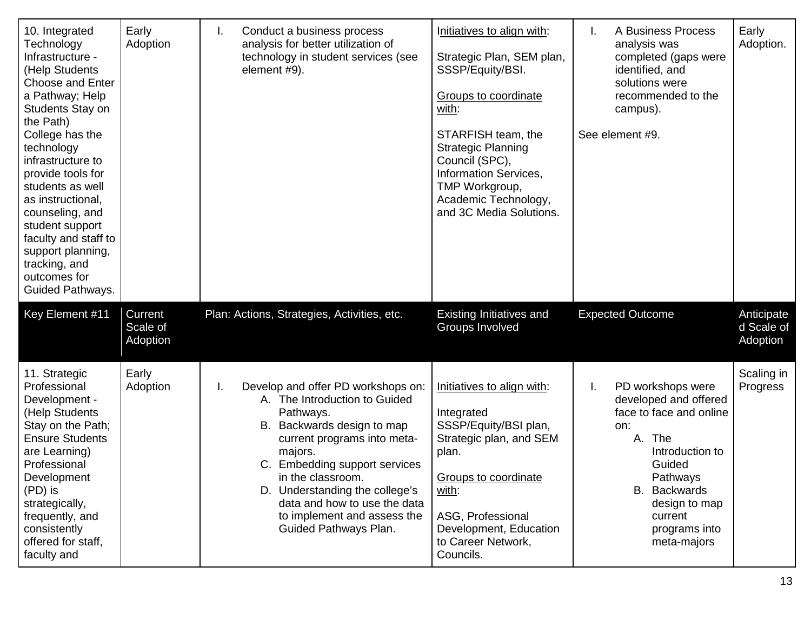| 10. Integrated<br>Technology<br>Infrastructure -<br>(Help Students<br><b>Choose and Enter</b><br>a Pathway; Help<br>Students Stay on<br>the Path)<br>College has the<br>technology<br>infrastructure to<br>provide tools for<br>students as well<br>as instructional,<br>counseling, and<br>student support<br>faculty and staff to<br>support planning,<br>tracking, and<br>outcomes for<br>Guided Pathways. | Early<br>Adoption                      | Conduct a business process<br>I.<br>analysis for better utilization of<br>technology in student services (see<br>element #9).                                                                                                                                                                                                                  | Initiatives to align with:<br>Strategic Plan, SEM plan,<br>SSSP/Equity/BSI.<br>Groups to coordinate<br>with:<br>STARFISH team, the<br><b>Strategic Planning</b><br>Council (SPC),<br>Information Services,<br>TMP Workgroup,<br>Academic Technology,<br>and 3C Media Solutions. | A Business Process<br>I.<br>analysis was<br>completed (gaps were<br>identified, and<br>solutions were<br>recommended to the<br>campus).<br>See element #9.                                                               | Early<br>Adoption.                   |
|---------------------------------------------------------------------------------------------------------------------------------------------------------------------------------------------------------------------------------------------------------------------------------------------------------------------------------------------------------------------------------------------------------------|----------------------------------------|------------------------------------------------------------------------------------------------------------------------------------------------------------------------------------------------------------------------------------------------------------------------------------------------------------------------------------------------|---------------------------------------------------------------------------------------------------------------------------------------------------------------------------------------------------------------------------------------------------------------------------------|--------------------------------------------------------------------------------------------------------------------------------------------------------------------------------------------------------------------------|--------------------------------------|
| Key Element #11                                                                                                                                                                                                                                                                                                                                                                                               | <b>Current</b><br>Scale of<br>Adoption | Plan: Actions, Strategies, Activities, etc.                                                                                                                                                                                                                                                                                                    | <b>Existing Initiatives and</b><br>Groups Involved                                                                                                                                                                                                                              | <b>Expected Outcome</b>                                                                                                                                                                                                  | Anticipate<br>d Scale of<br>Adoption |
| 11. Strategic<br>Professional<br>Development -<br>(Help Students<br>Stay on the Path;<br><b>Ensure Students</b><br>are Learning)<br>Professional<br>Development<br>(PD) is<br>strategically,<br>frequently, and<br>consistently<br>offered for staff,<br>faculty and                                                                                                                                          | Early<br>Adoption                      | Develop and offer PD workshops on:<br>I.<br>A. The Introduction to Guided<br>Pathways.<br>B. Backwards design to map<br>current programs into meta-<br>majors.<br>C. Embedding support services<br>in the classroom.<br>D. Understanding the college's<br>data and how to use the data<br>to implement and assess the<br>Guided Pathways Plan. | Initiatives to align with:<br>Integrated<br>SSSP/Equity/BSI plan,<br>Strategic plan, and SEM<br>plan.<br><b>Groups to coordinate</b><br>with:<br>ASG, Professional<br>Development, Education<br>to Career Network,<br>Councils.                                                 | I.<br>PD workshops were<br>developed and offered<br>face to face and online<br>on:<br>A. The<br>Introduction to<br>Guided<br>Pathways<br><b>B.</b> Backwards<br>design to map<br>current<br>programs into<br>meta-majors | Scaling in<br>Progress               |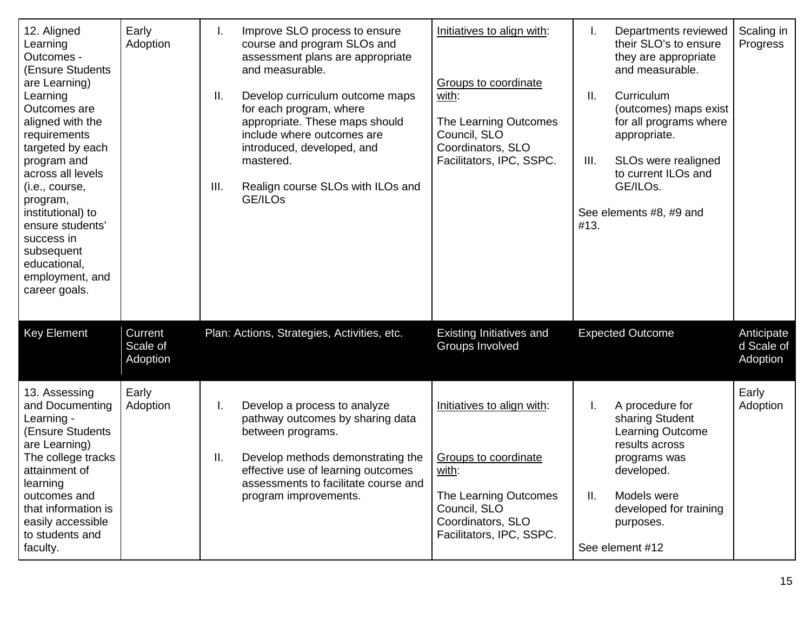| 12. Aligned<br>Learning<br>Outcomes -<br>(Ensure Students<br>are Learning)<br>Learning<br>Outcomes are<br>aligned with the<br>requirements<br>targeted by each<br>program and<br>across all levels<br>(i.e., course,<br>program,<br>institutional) to<br>ensure students'<br>success in<br>subsequent<br>educational,<br>employment, and<br>career goals. | Early<br>Adoption               | L.<br>Ш.<br>III. | Improve SLO process to ensure<br>course and program SLOs and<br>assessment plans are appropriate<br>and measurable.<br>Develop curriculum outcome maps<br>for each program, where<br>appropriate. These maps should<br>include where outcomes are<br>introduced, developed, and<br>mastered.<br>Realign course SLOs with ILOs and<br>GE/ILOs | Initiatives to align with:<br>Groups to coordinate<br>with:<br>The Learning Outcomes<br>Council, SLO<br>Coordinators, SLO<br>Facilitators, IPC, SSPC. | I.<br>II.<br>Ш.<br>#13. | Departments reviewed<br>their SLO's to ensure<br>they are appropriate<br>and measurable.<br>Curriculum<br>(outcomes) maps exist<br>for all programs where<br>appropriate.<br>SLOs were realigned<br>to current ILOs and<br>GE/ILOs.<br>See elements #8, #9 and | Scaling in<br>Progress               |
|-----------------------------------------------------------------------------------------------------------------------------------------------------------------------------------------------------------------------------------------------------------------------------------------------------------------------------------------------------------|---------------------------------|------------------|----------------------------------------------------------------------------------------------------------------------------------------------------------------------------------------------------------------------------------------------------------------------------------------------------------------------------------------------|-------------------------------------------------------------------------------------------------------------------------------------------------------|-------------------------|----------------------------------------------------------------------------------------------------------------------------------------------------------------------------------------------------------------------------------------------------------------|--------------------------------------|
| <b>Key Element</b>                                                                                                                                                                                                                                                                                                                                        | Current<br>Scale of<br>Adoption |                  | Plan: Actions, Strategies, Activities, etc.                                                                                                                                                                                                                                                                                                  | Existing Initiatives and<br>Groups Involved                                                                                                           |                         | <b>Expected Outcome</b>                                                                                                                                                                                                                                        | Anticipate<br>d Scale of<br>Adoption |
| 13. Assessing<br>and Documenting<br>Learning -<br>(Ensure Students<br>are Learning)<br>The college tracks<br>attainment of<br>learning<br>outcomes and<br>that information is<br>easily accessible<br>to students and<br>faculty.                                                                                                                         | Early<br>Adoption               | L.<br>Ш.         | Develop a process to analyze<br>pathway outcomes by sharing data<br>between programs.<br>Develop methods demonstrating the<br>effective use of learning outcomes<br>assessments to facilitate course and<br>program improvements.                                                                                                            | Initiatives to align with:<br>Groups to coordinate<br>with:<br>The Learning Outcomes<br>Council, SLO<br>Coordinators, SLO<br>Facilitators, IPC, SSPC. | I.<br>Ш.                | A procedure for<br>sharing Student<br>Learning Outcome<br>results across<br>programs was<br>developed.<br>Models were<br>developed for training<br>purposes.<br>See element #12                                                                                | Early<br>Adoption                    |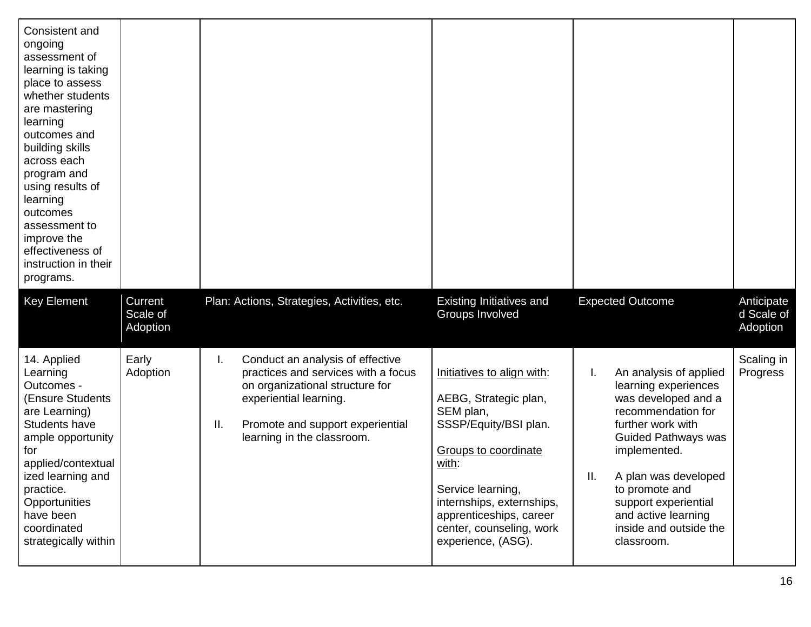| Consistent and<br>ongoing<br>assessment of<br>learning is taking<br>place to assess<br>whether students<br>are mastering<br>learning<br>outcomes and<br>building skills<br>across each<br>program and<br>using results of<br>learning<br>outcomes<br>assessment to<br>improve the<br>effectiveness of<br>instruction in their<br>programs. |                                 |                                                                                                                                                                                                                     |                                                                                                                            |                                                                                                                                                                      |                                      |
|--------------------------------------------------------------------------------------------------------------------------------------------------------------------------------------------------------------------------------------------------------------------------------------------------------------------------------------------|---------------------------------|---------------------------------------------------------------------------------------------------------------------------------------------------------------------------------------------------------------------|----------------------------------------------------------------------------------------------------------------------------|----------------------------------------------------------------------------------------------------------------------------------------------------------------------|--------------------------------------|
| <b>Key Element</b>                                                                                                                                                                                                                                                                                                                         | Current<br>Scale of<br>Adoption | Plan: Actions, Strategies, Activities, etc.                                                                                                                                                                         | Existing Initiatives and<br><b>Groups Involved</b>                                                                         | <b>Expected Outcome</b>                                                                                                                                              | Anticipate<br>d Scale of<br>Adoption |
| 14. Applied<br>Learning<br>Outcomes -<br>(Ensure Students<br>are Learning)<br><b>Students have</b><br>ample opportunity<br>for<br>applied/contextual                                                                                                                                                                                       | Early<br>Adoption               | Conduct an analysis of effective<br>L.<br>practices and services with a focus<br>on organizational structure for<br>experiential learning.<br>ΙΙ.<br>Promote and support experiential<br>learning in the classroom. | Initiatives to align with:<br>AEBG, Strategic plan,<br>SEM plan,<br>SSSP/Equity/BSI plan.<br>Groups to coordinate<br>with: | An analysis of applied<br>I.<br>learning experiences<br>was developed and a<br>recommendation for<br>further work with<br><b>Guided Pathways was</b><br>implemented. | Scaling in<br>Progress               |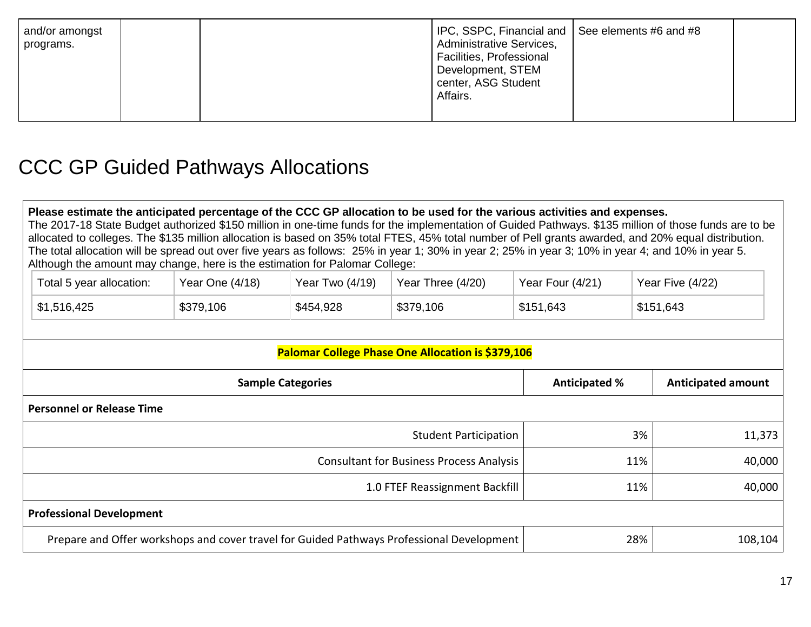| and/or amongst<br>programs. |  | Affairs. | Administrative Services,<br>Facilities, Professional<br>Development, STEM<br>center, ASG Student | IPC, SSPC, Financial and   See elements #6 and #8 |  |
|-----------------------------|--|----------|--------------------------------------------------------------------------------------------------|---------------------------------------------------|--|
|-----------------------------|--|----------|--------------------------------------------------------------------------------------------------|---------------------------------------------------|--|

## <span id="page-16-0"></span>CCC GP Guided Pathways Allocations

#### **Please estimate the anticipated percentage of the CCC GP allocation to be used for the various activities and expenses.**

The 2017-18 State Budget authorized \$150 million in one-time funds for the implementation of Guided Pathways. \$135 million of those funds are to be allocated to colleges. The \$135 million allocation is based on 35% total FTES, 45% total number of Pell grants awarded, and 20% equal distribution. The total allocation will be spread out over five years as follows: 25% in year 1; 30% in year 2; 25% in year 3; 10% in year 4; and 10% in year 5. Although the amount may change, here is the estimation for Palomar College:

| Total 5 year allocation: | Year One $(4/18)$ | Year Two $(4/19)$ | Year Three (4/20) | Year Four (4/21) | Year Five (4/22) |
|--------------------------|-------------------|-------------------|-------------------|------------------|------------------|
| \$1,516,425              | \$379,106         | \$454,928         | \$379,106         | \$151,643        | \$151,643        |

| Palomar College Phase One Allocation is \$379,106                                         |                      |                           |
|-------------------------------------------------------------------------------------------|----------------------|---------------------------|
| <b>Sample Categories</b>                                                                  | <b>Anticipated %</b> | <b>Anticipated amount</b> |
| <b>Personnel or Release Time</b>                                                          |                      |                           |
| <b>Student Participation</b>                                                              | 3%                   | 11,373                    |
| <b>Consultant for Business Process Analysis</b>                                           | 11%                  | 40,000                    |
| 1.0 FTEF Reassignment Backfill                                                            | 11%                  | 40,000                    |
| <b>Professional Development</b>                                                           |                      |                           |
| Prepare and Offer workshops and cover travel for Guided Pathways Professional Development | 28%                  | 108,104                   |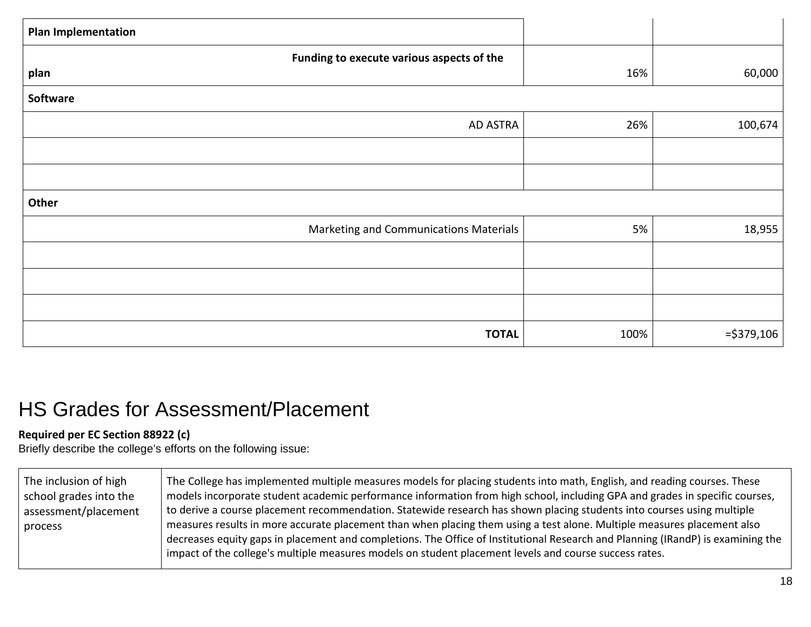| <b>Plan Implementation</b>                |      |               |
|-------------------------------------------|------|---------------|
| Funding to execute various aspects of the |      |               |
| plan                                      | 16%  | 60,000        |
| Software                                  |      |               |
| <b>AD ASTRA</b>                           | 26%  | 100,674       |
|                                           |      |               |
|                                           |      |               |
| Other                                     |      |               |
| Marketing and Communications Materials    | 5%   | 18,955        |
|                                           |      |               |
|                                           |      |               |
|                                           |      |               |
| <b>TOTAL</b>                              | 100% | $=$ \$379,106 |

### <span id="page-17-0"></span>HS Grades for Assessment/Placement

#### **Required per EC Section 88922 (c)**

Briefly describe the college's efforts on the following issue:

| The inclusion of high<br>school grades into the<br>assessment/placement<br>process | The College has implemented multiple measures models for placing students into math, English, and reading courses. These<br>models incorporate student academic performance information from high school, including GPA and grades in specific courses,<br>to derive a course placement recommendation. Statewide research has shown placing students into courses using multiple<br>measures results in more accurate placement than when placing them using a test alone. Multiple measures placement also<br>decreases equity gaps in placement and completions. The Office of Institutional Research and Planning (IRandP) is examining the<br>impact of the college's multiple measures models on student placement levels and course success rates. |
|------------------------------------------------------------------------------------|-----------------------------------------------------------------------------------------------------------------------------------------------------------------------------------------------------------------------------------------------------------------------------------------------------------------------------------------------------------------------------------------------------------------------------------------------------------------------------------------------------------------------------------------------------------------------------------------------------------------------------------------------------------------------------------------------------------------------------------------------------------|
|------------------------------------------------------------------------------------|-----------------------------------------------------------------------------------------------------------------------------------------------------------------------------------------------------------------------------------------------------------------------------------------------------------------------------------------------------------------------------------------------------------------------------------------------------------------------------------------------------------------------------------------------------------------------------------------------------------------------------------------------------------------------------------------------------------------------------------------------------------|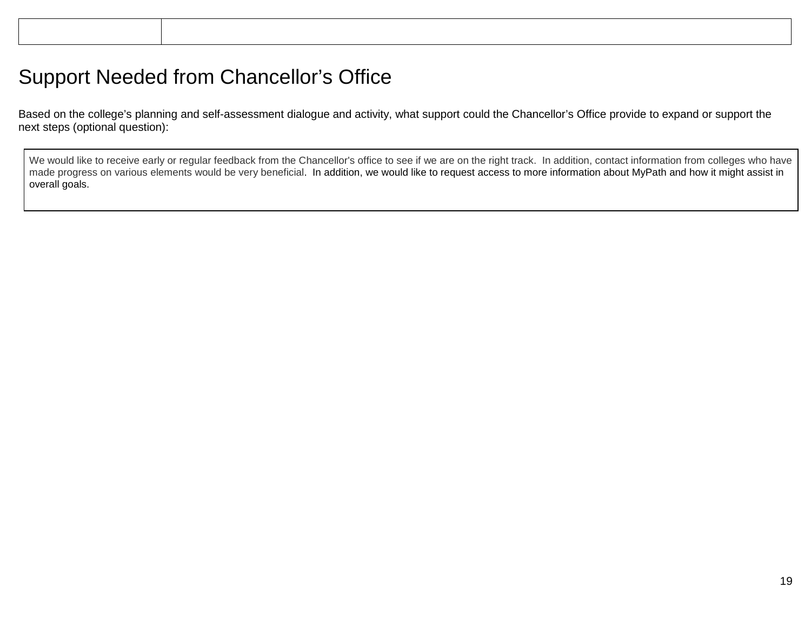### <span id="page-18-0"></span>Support Needed from Chancellor's Office

Based on the college's planning and self-assessment dialogue and activity, what support could the Chancellor's Office provide to expand or support the next steps (optional question):

We would like to receive early or regular feedback from the Chancellor's office to see if we are on the right track. In addition, contact information from colleges who have made progress on various elements would be very beneficial. In addition, we would like to request access to more information about MyPath and how it might assist in overall goals.